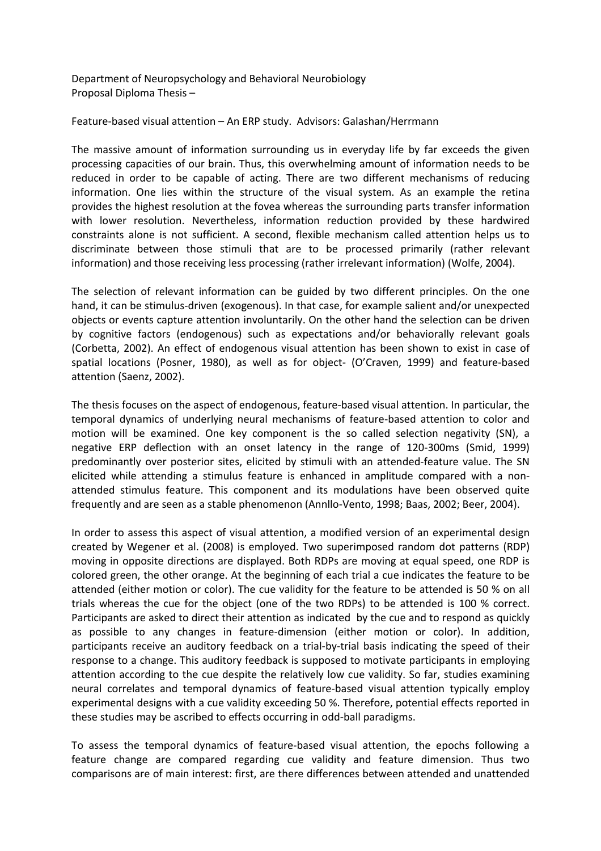Department of Neuropsychology and Behavioral Neurobiology Proposal Diploma Thesis –

Feature-based visual attention – An ERP study. Advisors: Galashan/Herrmann

The massive amount of information surrounding us in everyday life by far exceeds the given processing capacities of our brain. Thus, this overwhelming amount of information needs to be reduced in order to be capable of acting. There are two different mechanisms of reducing information. One lies within the structure of the visual system. As an example the retina provides the highest resolution at the fovea whereas the surrounding parts transfer information with lower resolution. Nevertheless, information reduction provided by these hardwired constraints alone is not sufficient. A second, flexible mechanism called attention helps us to discriminate between those stimuli that are to be processed primarily (rather relevant information) and those receiving less processing (rather irrelevant information) (Wolfe, 2004).

The selection of relevant information can be guided by two different principles. On the one hand, it can be stimulus-driven (exogenous). In that case, for example salient and/or unexpected objects or events capture attention involuntarily. On the other hand the selection can be driven by cognitive factors (endogenous) such as expectations and/or behaviorally relevant goals (Corbetta, 2002). An effect of endogenous visual attention has been shown to exist in case of spatial locations (Posner, 1980), as well as for object- (O'Craven, 1999) and feature-based attention (Saenz, 2002).

The thesis focuses on the aspect of endogenous, feature‐based visual attention. In particular, the temporal dynamics of underlying neural mechanisms of feature‐based attention to color and motion will be examined. One key component is the so called selection negativity (SN), a negative ERP deflection with an onset latency in the range of 120‐300ms (Smid, 1999) predominantly over posterior sites, elicited by stimuli with an attended‐feature value. The SN elicited while attending a stimulus feature is enhanced in amplitude compared with a non‐ attended stimulus feature. This component and its modulations have been observed quite frequently and are seen as a stable phenomenon (Annllo‐Vento, 1998; Baas, 2002; Beer, 2004).

In order to assess this aspect of visual attention, a modified version of an experimental design created by Wegener et al. (2008) is employed. Two superimposed random dot patterns (RDP) moving in opposite directions are displayed. Both RDPs are moving at equal speed, one RDP is colored green, the other orange. At the beginning of each trial a cue indicates the feature to be attended (either motion or color). The cue validity for the feature to be attended is 50 % on all trials whereas the cue for the object (one of the two RDPs) to be attended is 100 % correct. Participants are asked to direct their attention as indicated by the cue and to respond as quickly as possible to any changes in feature‐dimension (either motion or color). In addition, participants receive an auditory feedback on a trial-by-trial basis indicating the speed of their response to a change. This auditory feedback is supposed to motivate participants in employing attention according to the cue despite the relatively low cue validity. So far, studies examining neural correlates and temporal dynamics of feature‐based visual attention typically employ experimental designs with a cue validity exceeding 50 %. Therefore, potential effects reported in these studies may be ascribed to effects occurring in odd‐ball paradigms.

To assess the temporal dynamics of feature‐based visual attention, the epochs following a feature change are compared regarding cue validity and feature dimension. Thus two comparisons are of main interest: first, are there differences between attended and unattended